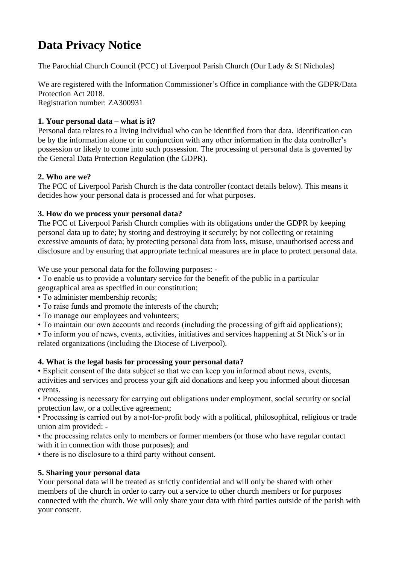# **Data Privacy Notice**

The Parochial Church Council (PCC) of Liverpool Parish Church (Our Lady & St Nicholas)

We are registered with the Information Commissioner's Office in compliance with the GDPR/Data Protection Act 2018. Registration number: ZA300931

## **1. Your personal data – what is it?**

Personal data relates to a living individual who can be identified from that data. Identification can be by the information alone or in conjunction with any other information in the data controller's possession or likely to come into such possession. The processing of personal data is governed by the General Data Protection Regulation (the GDPR).

## **2. Who are we?**

The PCC of Liverpool Parish Church is the data controller (contact details below). This means it decides how your personal data is processed and for what purposes.

## **3. How do we process your personal data?**

The PCC of Liverpool Parish Church complies with its obligations under the GDPR by keeping personal data up to date; by storing and destroying it securely; by not collecting or retaining excessive amounts of data; by protecting personal data from loss, misuse, unauthorised access and disclosure and by ensuring that appropriate technical measures are in place to protect personal data.

We use your personal data for the following purposes: -

• To enable us to provide a voluntary service for the benefit of the public in a particular geographical area as specified in our constitution;

- To administer membership records;
- To raise funds and promote the interests of the church;
- To manage our employees and volunteers;
- To maintain our own accounts and records (including the processing of gift aid applications);

• To inform you of news, events, activities, initiatives and services happening at St Nick's or in related organizations (including the Diocese of Liverpool).

## **4. What is the legal basis for processing your personal data?**

• Explicit consent of the data subject so that we can keep you informed about news, events, activities and services and process your gift aid donations and keep you informed about diocesan events.

• Processing is necessary for carrying out obligations under employment, social security or social protection law, or a collective agreement;

• Processing is carried out by a not-for-profit body with a political, philosophical, religious or trade union aim provided: -

• the processing relates only to members or former members (or those who have regular contact with it in connection with those purposes); and

• there is no disclosure to a third party without consent.

### **5. Sharing your personal data**

Your personal data will be treated as strictly confidential and will only be shared with other members of the church in order to carry out a service to other church members or for purposes connected with the church. We will only share your data with third parties outside of the parish with your consent.